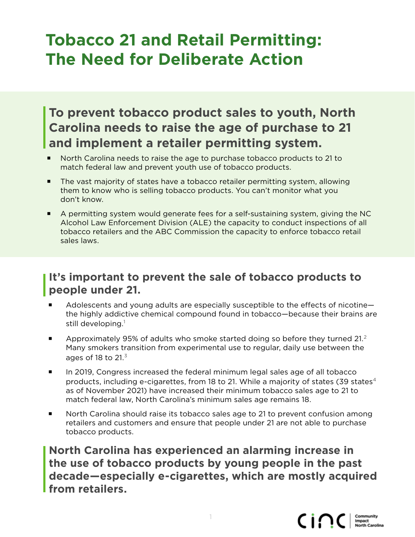# **Tobacco 21 and Retail Permitting: The Need for Deliberate Action**

## **To prevent tobacco product sales to youth, North Carolina needs to raise the age of purchase to 21 and implement a retailer permitting system.**

- North Carolina needs to raise the age to purchase tobacco products to 21 to match federal law and prevent youth use of tobacco products.
- The vast majority of states have a tobacco retailer permitting system, allowing them to know who is selling tobacco products. You can't monitor what you don't know.
- A permitting system would generate fees for a self-sustaining system, giving the NC Alcohol Law Enforcement Division (ALE) the capacity to conduct inspections of all tobacco retailers and the ABC Commission the capacity to enforce tobacco retail sales laws.

#### **It's important to prevent the sale of tobacco products to people under 21.**

- Adolescents and young adults are especially susceptible to the effects of nicotine the highly addictive chemical compound found in tobacco—because their brains are still developing. $^1$
- Approximately 95% of adults who smoke started doing so before they turned 21.<sup>2</sup> Many smokers transition from experimental use to regular, daily use between the ages of 18 to 21. $3$
- In 2019, Congress increased the federal minimum legal sales age of all tobacco products, including e-cigarettes, from 18 to 21. While a majority of states (39 states $4$ as of November 2021) have increased their minimum tobacco sales age to 21 to match federal law, North Carolina's minimum sales age remains 18.
- North Carolina should raise its tobacco sales age to 21 to prevent confusion among retailers and customers and ensure that people under 21 are not able to purchase tobacco products.

**North Carolina has experienced an alarming increase in the use of tobacco products by young people in the past decade—especially e-cigarettes, which are mostly acquired from retailers.**

1

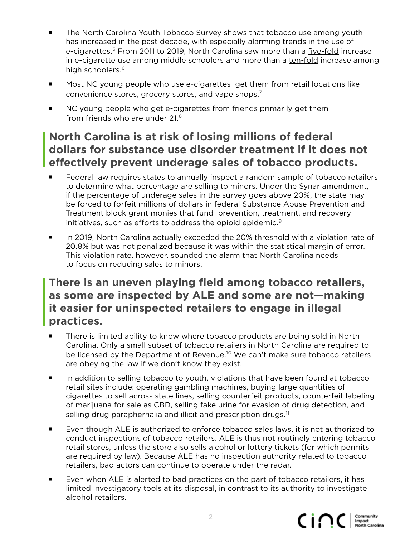- The North Carolina Youth Tobacco Survey shows that tobacco use among youth has increased in the past decade, with especially alarming trends in the use of e-cigarettes.<sup>5</sup> From 2011 to 2019, North Carolina saw more than a five-fold increase in e-cigarette use among middle schoolers and more than a ten-fold increase among high schoolers.<sup>6</sup>
- **Most NC young people who use e-cigarettes get them from retail locations like** convenience stores, grocery stores, and vape shops.7
- NC young people who get e-cigarettes from friends primarily get them from friends who are under 21.8

### **North Carolina is at risk of losing millions of federal dollars for substance use disorder treatment if it does not effectively prevent underage sales of tobacco products.**

- Federal law requires states to annually inspect a random sample of tobacco retailers to determine what percentage are selling to minors. Under the Synar amendment, if the percentage of underage sales in the survey goes above 20%, the state may be forced to forfeit millions of dollars in federal Substance Abuse Prevention and Treatment block grant monies that fund prevention, treatment, and recovery initiatives, such as efforts to address the opioid epidemic.<sup>9</sup>
- In 2019, North Carolina actually exceeded the 20% threshold with a violation rate of 20.8% but was not penalized because it was within the statistical margin of error. This violation rate, however, sounded the alarm that North Carolina needs to focus on reducing sales to minors.

#### **There is an uneven playing field among tobacco retailers, as some are inspected by ALE and some are not—making it easier for uninspected retailers to engage in illegal practices.**

- There is limited ability to know where tobacco products are being sold in North Carolina. Only a small subset of tobacco retailers in North Carolina are required to be licensed by the Department of Revenue.<sup>10</sup> We can't make sure tobacco retailers are obeying the law if we don't know they exist.
- In addition to selling tobacco to youth, violations that have been found at tobacco retail sites include: operating gambling machines, buying large quantities of cigarettes to sell across state lines, selling counterfeit products, counterfeit labeling of marijuana for sale as CBD, selling fake urine for evasion of drug detection, and selling drug paraphernalia and illicit and prescription drugs. $11$
- Even though ALE is authorized to enforce tobacco sales laws, it is not authorized to conduct inspections of tobacco retailers. ALE is thus not routinely entering tobacco retail stores, unless the store also sells alcohol or lottery tickets (for which permits are required by law). Because ALE has no inspection authority related to tobacco retailers, bad actors can continue to operate under the radar.
- Even when ALE is alerted to bad practices on the part of tobacco retailers, it has limited investigatory tools at its disposal, in contrast to its authority to investigate alcohol retailers.

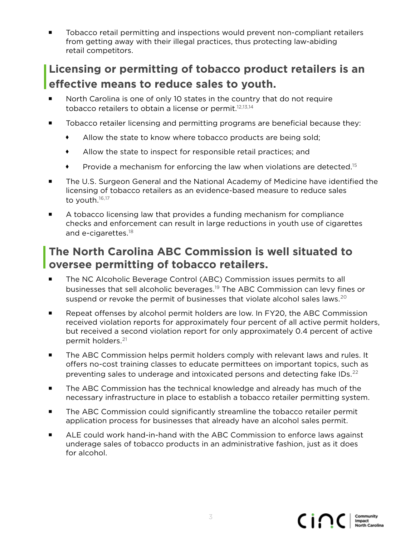Tobacco retail permitting and inspections would prevent non-compliant retailers from getting away with their illegal practices, thus protecting law-abiding retail competitors.

## **Licensing or permitting of tobacco product retailers is an effective means to reduce sales to youth.**

- ¡ North Carolina is one of only 10 states in the country that do not require tobacco retailers to obtain a license or permit.<sup>12,13,14</sup>
- Tobacco retailer licensing and permitting programs are beneficial because they:
	- Allow the state to know where tobacco products are being sold;
	- Allow the state to inspect for responsible retail practices; and
	- **Provide a mechanism for enforcing the law when violations are detected.**<sup>15</sup>
- The U.S. Surgeon General and the National Academy of Medicine have identified the licensing of tobacco retailers as an evidence-based measure to reduce sales to youth.<sup>16,17</sup>
- **A** tobacco licensing law that provides a funding mechanism for compliance checks and enforcement can result in large reductions in youth use of cigarettes and e-cigarettes.<sup>18</sup>

### **The North Carolina ABC Commission is well situated to oversee permitting of tobacco retailers.**

- The NC Alcoholic Beverage Control (ABC) Commission issues permits to all businesses that sell alcoholic beverages.19 The ABC Commission can levy fines or suspend or revoke the permit of businesses that violate alcohol sales laws.<sup>20</sup>
- **E** Repeat offenses by alcohol permit holders are low. In FY20, the ABC Commission received violation reports for approximately four percent of all active permit holders, but received a second violation report for only approximately 0.4 percent of active permit holders.21
- **The ABC Commission helps permit holders comply with relevant laws and rules. It** offers no-cost training classes to educate permittees on important topics, such as preventing sales to underage and intoxicated persons and detecting fake IDs.<sup>22</sup>
- The ABC Commission has the technical knowledge and already has much of the necessary infrastructure in place to establish a tobacco retailer permitting system.
- The ABC Commission could significantly streamline the tobacco retailer permit application process for businesses that already have an alcohol sales permit.
- ALE could work hand-in-hand with the ABC Commission to enforce laws against underage sales of tobacco products in an administrative fashion, just as it does for alcohol.